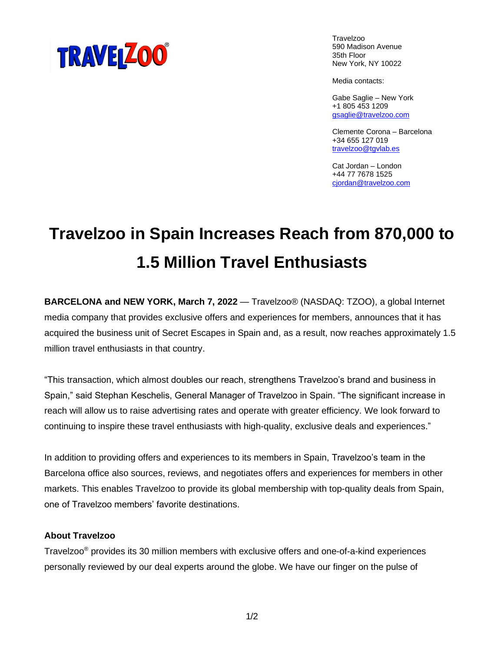

Travelzoo 590 Madison Avenue 35th Floor New York, NY 10022

Media contacts:

Gabe Saglie – New York +1 805 453 1209 [gsaglie@travelzoo.com](mailto:gsaglie@travelzoo.com)

Clemente Corona – Barcelona +34 655 127 019 [travelzoo@tgvlab.es](mailto:travelzoo@tgvlab.es)

Cat Jordan – London +44 77 7678 1525 [cjordan@travelzoo.com](mailto:cjordan@travelzoo.com)

## **Travelzoo in Spain Increases Reach from 870,000 to 1.5 Million Travel Enthusiasts**

**BARCELONA and NEW YORK, March 7, 2022** — Travelzoo® (NASDAQ: TZOO), a global Internet media company that provides exclusive offers and experiences for members, announces that it has acquired the business unit of Secret Escapes in Spain and, as a result, now reaches approximately 1.5 million travel enthusiasts in that country.

"This transaction, which almost doubles our reach, strengthens Travelzoo's brand and business in Spain," said Stephan Keschelis, General Manager of Travelzoo in Spain. "The significant increase in reach will allow us to raise advertising rates and operate with greater efficiency. We look forward to continuing to inspire these travel enthusiasts with high-quality, exclusive deals and experiences."

In addition to providing offers and experiences to its members in Spain, Travelzoo's team in the Barcelona office also sources, reviews, and negotiates offers and experiences for members in other markets. This enables Travelzoo to provide its global membership with top-quality deals from Spain, one of Travelzoo members' favorite destinations.

## **About Travelzoo**

Travelzoo® provides its 30 million members with exclusive offers and one-of-a-kind experiences personally reviewed by our deal experts around the globe. We have our finger on the pulse of